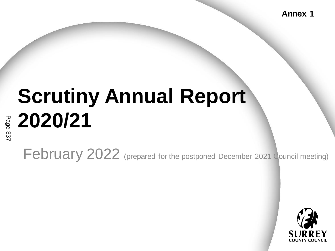**Annex 1**

# **Scrutiny Annual Report 2020/21**

February 2022 (prepared for the postponed December 2021 Council meeting)

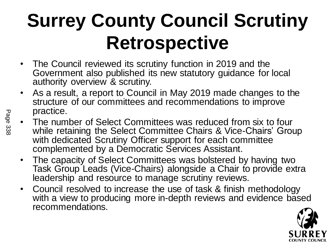#### **Surrey County Council Scrutiny Retrospective**

- The Council reviewed its scrutiny function in 2019 and the Government also published its new statutory guidance for local authority overview & scrutiny.
- As a result, a report to Council in May 2019 made changes to the structure of our committees and recommendations to improve practice.
- The number of Select Committees was reduced from six to four while retaining the Select Committee Chairs & Vice-Chairs' Group with dedicated Scrutiny Officer support for each committee complemented by a Democratic Services Assistant.
- The capacity of Select Committees was bolstered by having two Task Group Leads (Vice-Chairs) alongside a Chair to provide extra leadership and resource to manage scrutiny reviews.
- Council resolved to increase the use of task & finish methodology with a view to producing more in-depth reviews and evidence based recommendations.

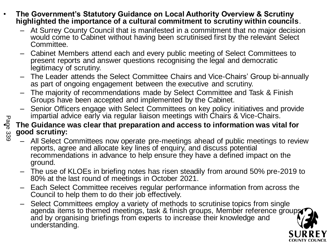- **The Government's Statutory Guidance on Local Authority Overview & Scrutiny highlighted the importance of a cultural commitment to scrutiny within councils**.
	- At Surrey County Council that is manifested in a commitment that no major decision would come to Cabinet without having been scrutinised first by the relevant Select Committee.
	- Cabinet Members attend each and every public meeting of Select Committees to present reports and answer questions recognising the legal and democratic legitimacy of scrutiny.
	- The Leader attends the Select Committee Chairs and Vice-Chairs' Group bi-annually as part of ongoing engagement between the executive and scrutiny.
	- The majority of recommendations made by Select Committee and Task & Finish Groups have been accepted and implemented by the Cabinet.
	- Senior Officers engage with Select Committees on key policy initiatives and provide impartial advice early via regular liaison meetings with Chairs & Vice-Chairs.

#### • **The Guidance was clear that preparation and access to information was vital for good scrutiny:**

- All Select Committees now operate pre-meetings ahead of public meetings to review reports, agree and allocate key lines of enquiry, and discuss potential recommendations in advance to help ensure they have a defined impact on the ground.
- The use of KLOEs in briefing notes has risen steadily from around 50% pre-2019 to 80% at the last round of meetings in October 2021.
- Each Select Committee receives regular performance information from across the Council to help them to do their job effectively.
- Select Committees employ a variety of methods to scrutinise topics from single agenda items to themed meetings, task & finish groups, Member reference groups and by organising briefings from experts to increase their knowledge and understanding.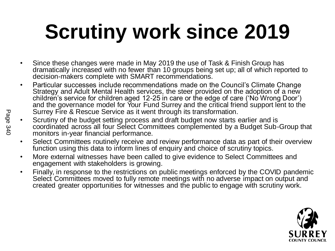# **Scrutiny work since 2019**

- Since these changes were made in May 2019 the use of Task & Finish Group has dramatically increased with no fewer than 10 groups being set up; all of which reported to decision-makers complete with SMART recommendations.
- Particular successes include recommendations made on the Council's Climate Change Strategy and Adult Mental Health services, the steer provided on the adoption of a new children's service for children aged 12-25 in care or the edge of care ('No Wrong Door') and the governance model for Your Fund Surrey and the critical friend support lent to the Surrey Fire & Rescue Service as it went through its transformation.
- Scrutiny of the budget setting process and draft budget now starts earlier and is coordinated across all four Select Committees complemented by a Budget Sub-Group that monitors in-year financial performance.
- Select Committees routinely receive and review performance data as part of their overview function using this data to inform lines of enquiry and choice of scrutiny topics.
- More external witnesses have been called to give evidence to Select Committees and engagement with stakeholders is growing.
- Finally, in response to the restrictions on public meetings enforced by the COVID pandemic Select Committees moved to fully remote meetings with no adverse impact on output and created greater opportunities for witnesses and the public to engage with scrutiny work.

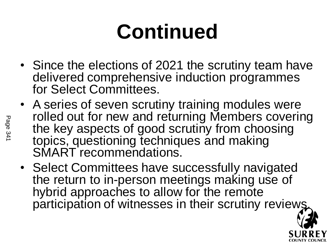## **Continued**

- Since the elections of 2021 the scrutiny team have delivered comprehensive induction programmes for Select Committees.
- A series of seven scrutiny training modules were rolled out for new and returning Members covering the key aspects of good scrutiny from choosing topics, questioning techniques and making SMART recommendations.
- Select Committees have successfully navigated the return to in-person meetings making use of hybrid approaches to allow for the remote participation of witnesses in their scrutiny reviews

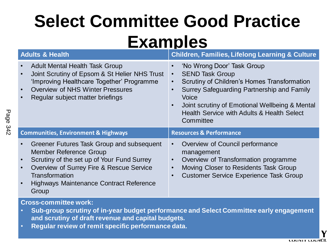#### **Select Committee Good Practice Examples**

| <b>Adults &amp; Health</b>                                                                                                                                                                                                                        | <b>Children, Families, Lifelong Learning &amp; Culture</b>                                                                                                                                                                                                                                                                                          |
|---------------------------------------------------------------------------------------------------------------------------------------------------------------------------------------------------------------------------------------------------|-----------------------------------------------------------------------------------------------------------------------------------------------------------------------------------------------------------------------------------------------------------------------------------------------------------------------------------------------------|
| <b>Adult Mental Health Task Group</b><br>Joint Scrutiny of Epsom & St Helier NHS Trust<br>'Improving Healthcare Together' Programme<br>Overview of NHS Winter Pressures<br>Regular subject matter briefings                                       | 'No Wrong Door' Task Group<br>$\bullet$<br><b>SEND Task Group</b><br>$\bullet$<br>Scrutiny of Children's Homes Transformation<br>$\bullet$<br>Surrey Safeguarding Partnership and Family<br>$\bullet$<br>Voice<br>Joint scrutiny of Emotional Wellbeing & Mental<br>$\bullet$<br><b>Health Service with Adults &amp; Health Select</b><br>Committee |
| <b>Communities, Environment &amp; Highways</b>                                                                                                                                                                                                    | <b>Resources &amp; Performance</b>                                                                                                                                                                                                                                                                                                                  |
| Greener Futures Task Group and subsequent<br><b>Member Reference Group</b><br>Scrutiny of the set up of Your Fund Surrey<br>Overview of Surrey Fire & Rescue Service<br>Transformation<br><b>Highways Maintenance Contract Reference</b><br>Group | Overview of Council performance<br>$\bullet$<br>management<br>Overview of Transformation programme<br>$\bullet$<br>Moving Closer to Residents Task Group<br>$\bullet$<br><b>Customer Service Experience Task Group</b><br>$\bullet$                                                                                                                 |

#### **Cross-committee work:**

- **Sub-group scrutiny of in-year budget performance and Select Committee early engagement and scrutiny of draft revenue and capital budgets.**
- **Regular review of remit specific performance data.**

**COUNTY COUNCIL**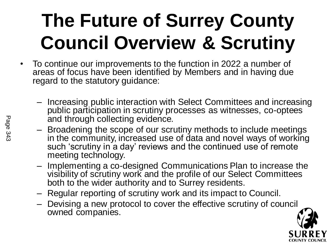### **The Future of Surrey County Council Overview & Scrutiny**

- To continue our improvements to the function in 2022 a number of areas of focus have been identified by Members and in having due regard to the statutory guidance:
	- Increasing public interaction with Select Committees and increasing public participation in scrutiny processes as witnesses, co-optees and through collecting evidence.
	- Broadening the scope of our scrutiny methods to include meetings in the community, increased use of data and novel ways of working such 'scrutiny in a day' reviews and the continued use of remote meeting technology.
	- Implementing a co-designed Communications Plan to increase the visibility of scrutiny work and the profile of our Select Committees both to the wider authority and to Surrey residents.
	- Regular reporting of scrutiny work and its impact to Council.
	- Devising a new protocol to cover the effective scrutiny of council owned companies.